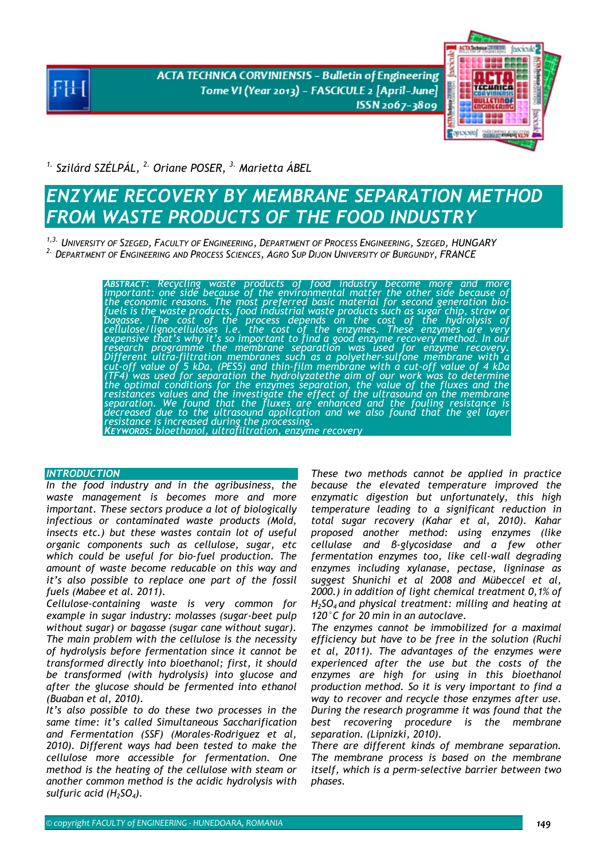**ACTA TECHNICA CORVINIENSIS - Bulletin of Engineering** Tome VI (Year 2013) - FASCICULE 2 [April-June] ISSN 2067-3809



*1. Szilárd SZÉLPÁL, 2. Oriane POSER, 3. Marietta ÁBEL* 

# *ENZYME RECOVERY BY MEMBRANE SEPARATION METHOD FROM WASTE PRODUCTS OF THE FOOD INDUSTRY*

*1,3. UNIVERSITY OF SZEGED, FACULTY OF ENGINEERING, DEPARTMENT OF PROCESS ENGINEERING, SZEGED, HUNGARY 2. DEPARTMENT OF ENGINEERING AND PROCESS SCIENCES, AGRO SUP DIJON UNIVERSITY OF BURGUNDY, FRANCE* 

> **ABSTRACT: Recycling waste products of food industry become more and more**<br>important: one side because of the environmental matter the other side because of<br>the economic reasons. The most preferred basic material for secon *fuels is the waste products, food industrial waste products such as sugar chip, straw or*  bagasse. The cost of the process depends on the cost of the hydrolysis of<br>cellulose/lignocelluloses i.e. the cost of the enzymes. These enzymes are very<br>expensive-that's-why-it's-so-important-to-find-a-good-enzyme-recovery *research programme the membrane separation was used for enzyme recovery.*  Different ultra-filtration membranes such as a polyether-sulfone membrane with a<br>cut-off value of 5 kDa, (PES5) and thin-film membrane with a cut-off value of 4 kDa<br>(TF4) was used for separation the hydrolyzatethe aim of o separation. We found that the fluxes are enhanced and the fouling resistance is<br>decreased due to the ultrasound application and we also found that the gel layer<br>resistance is increased during the processing. *KEYWORDS: bioethanol, ultrafiltration, enzyme recovery*

# *INTRODUCTION*

*In the food industry and in the agribusiness, the waste management is becomes more and more important. These sectors produce a lot of biologically infectious or contaminated waste products (Mold, insects etc.) but these wastes contain lot of useful organic components such as cellulose, sugar, etc which could be useful for bio-fuel production. The amount of waste become reducable on this way and it's also possible to replace one part of the fossil fuels (Mabee et al. 2011).* 

*Cellulose-containing waste is very common for example in sugar industry: molasses (sugar-beet pulp without sugar) or bagasse (sugar cane without sugar). The main problem with the cellulose is the necessity of hydrolysis before fermentation since it cannot be transformed directly into bioethanol; first, it should be transformed (with hydrolysis) into glucose and after the glucose should be fermented into ethanol (Buaban et al, 2010).* 

*It's also possible to do these two processes in the same time: it's called Simultaneous Saccharification and Fermentation (SSF) (Morales-Rodriguez et al, 2010). Different ways had been tested to make the cellulose more accessible for fermentation. One method is the heating of the cellulose with steam or another common method is the acidic hydrolysis with sulfuric acid (H2SO4).* 

*These two methods cannot be applied in practice because the elevated temperature improved the enzymatic digestion but unfortunately, this high temperature leading to a significant reduction in total sugar recovery (Kahar et al, 2010). Kahar proposed another method: using enzymes (like cellulase and β-glycosidase and a few other fermentation enzymes too, like cell-wall degrading enzymes including xylanase, pectase, ligninase as suggest Shunichi et al 2008 and Mübeccel et al, 2000.) in addition of light chemical treatment 0,1% of H2SO4 and physical treatment: milling and heating at 120°C for 20 min in an autoclave.* 

*The enzymes cannot be immobilized for a maximal efficiency but have to be free in the solution (Ruchi et al, 2011). The advantages of the enzymes were experienced after the use but the costs of the enzymes are high for using in this bioethanol production method. So it is very important to find a way to recover and recycle those enzymes after use. During the research programme it was found that the best recovering procedure is the membrane separation. (Lipnizki, 2010).* 

*There are different kinds of membrane separation. The membrane process is based on the membrane itself, which is a perm-selective barrier between two phases.*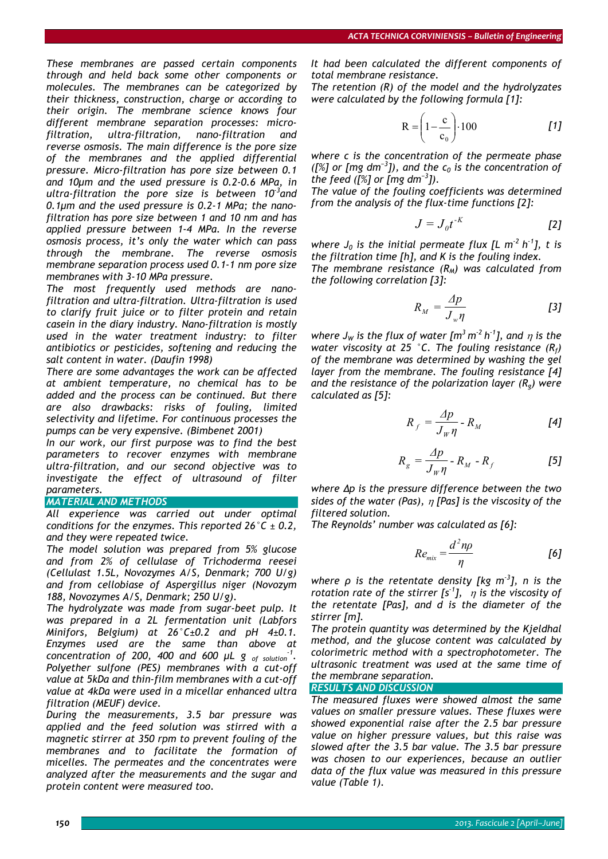*These membranes are passed certain components through and held back some other components or molecules. The membranes can be categorized by their thickness, construction, charge or according to their origin. The membrane science knows four different membrane separation processes: microfiltration, ultra-filtration, nano-filtration and reverse osmosis. The main difference is the pore size of the membranes and the applied differential pressure. Micro-filtration has pore size between 0.1 and 10µm and the used pressure is 0.2-0.6 MPa, in ultra-filtration the pore size is between 10-3and 0.1µm and the used pressure is 0.2-1 MPa; the nanofiltration has pore size between 1 and 10 nm and has applied pressure between 1-4 MPa. In the reverse osmosis process, it's only the water which can pass through the membrane. The reverse osmosis membrane separation process used 0.1-1 nm pore size membranes with 3-10 MPa pressure.* 

*The most frequently used methods are nanofiltration and ultra-filtration. Ultra-filtration is used to clarify fruit juice or to filter protein and retain casein in the diary industry. Nano-filtration is mostly used in the water treatment industry: to filter antibiotics or pesticides, softening and reducing the salt content in water. (Daufin 1998)* 

*There are some advantages the work can be affected at ambient temperature, no chemical has to be added and the process can be continued. But there are also drawbacks: risks of fouling, limited selectivity and lifetime. For continuous processes the pumps can be very expensive. (Bimbenet 2001)* 

*In our work, our first purpose was to find the best parameters to recover enzymes with membrane ultra-filtration, and our second objective was to investigate the effect of ultrasound of filter parameters.* 

#### *MATERIAL AND METHODS*

*All experience was carried out under optimal conditions for the enzymes. This reported 26°C ± 0.2, and they were repeated twice.* 

*The model solution was prepared from 5% glucose and from 2% of cellulase of Trichoderma reesei (Cellulast 1.5L, Novozymes A/S, Denmark; 700 U/g) and from cellobiase of Aspergillus niger (Novozym 188, Novozymes A/S, Denmark; 250 U/g).* 

*The hydrolyzate was made from sugar-beet pulp. It was prepared in a 2L fermentation unit (Labfors Minifors, Belgium) at 26°C±0.2 and pH 4±0.1. Enzymes used are the same than above at concentration of 200, 400 and 600*  $\mu$ *L g <sub>of solution*<sup>-1</sup>.</sub> *Polyether sulfone (PES) membranes with a cut-off value at 5kDa and thin-film membranes with a cut-off value at 4kDa were used in a micellar enhanced ultra filtration (MEUF) device.* 

*During the measurements, 3.5 bar pressure was applied and the feed solution was stirred with a magnetic stirrer at 350 rpm to prevent fouling of the membranes and to facilitate the formation of micelles. The permeates and the concentrates were analyzed after the measurements and the sugar and protein content were measured too.* 

*It had been calculated the different components of total membrane resistance.* 

*The retention (R) of the model and the hydrolyzates were calculated by the following formula [1]:* 

$$
R = \left(1 - \frac{c}{c_0}\right) \cdot 100 \qquad \qquad [1]
$$

*where c is the concentration of the permeate phase*  ([%] or [mg dm<sup>−3</sup>]), and the c<sub>0</sub> is the concentration of *the feed ([%] or [mg dm<sup>−</sup><sup>3</sup> ]).* 

*The value of the fouling coefficients was determined from the analysis of the flux-time functions [2]:* 

$$
J = J_0 t^{-K} \tag{2}
$$

*where*  $J_0$  *is the initial permeate flux [L m<sup>-2</sup> h<sup>-1</sup>], t is the filtration time [h], and K is the fouling index.* 

The membrane resistance  $(R_M)$  was calculated from *the following correlation [3]:* 

$$
R_M = \frac{\Delta p}{J_w \eta} \tag{3}
$$

*where J<sub>W</sub>* is the flux of water  $\lceil m^3 m^2 h^1 \rceil$ , and  $\eta$  is the *water viscosity at 25 °C. The fouling resistance (Rf) of the membrane was determined by washing the gel layer from the membrane. The fouling resistance [4] and the resistance of the polarization layer (Rg) were calculated as [5]:* 

$$
R_f = \frac{\Delta p}{J_W \eta} - R_M \tag{4}
$$

$$
R_g = \frac{\Delta p}{J_W \eta} - R_M - R_f \tag{5}
$$

*where Δp is the pressure difference between the two sides of the water (Pas),* η *[Pas] is the viscosity of the filtered solution.* 

*The Reynolds' number was calculated as [6]:* 

$$
Re_{mix} = \frac{d^2 n \rho}{\eta}
$$
 [6]

*where ρ is the retentate density [kg m-3], n is the rotation rate of the stirrer [s-1],* η *is the viscosity of the retentate [Pas], and d is the diameter of the stirrer [m].* 

*The protein quantity was determined by the Kjeldhal method, and the glucose content was calculated by colorimetric method with a spectrophotometer. The ultrasonic treatment was used at the same time of the membrane separation.* 

*RESULTS AND DISCUSSION* 

*The measured fluxes were showed almost the same values on smaller pressure values. These fluxes were showed exponential raise after the 2.5 bar pressure value on higher pressure values, but this raise was slowed after the 3.5 bar value. The 3.5 bar pressure was chosen to our experiences, because an outlier data of the flux value was measured in this pressure value (Table 1).*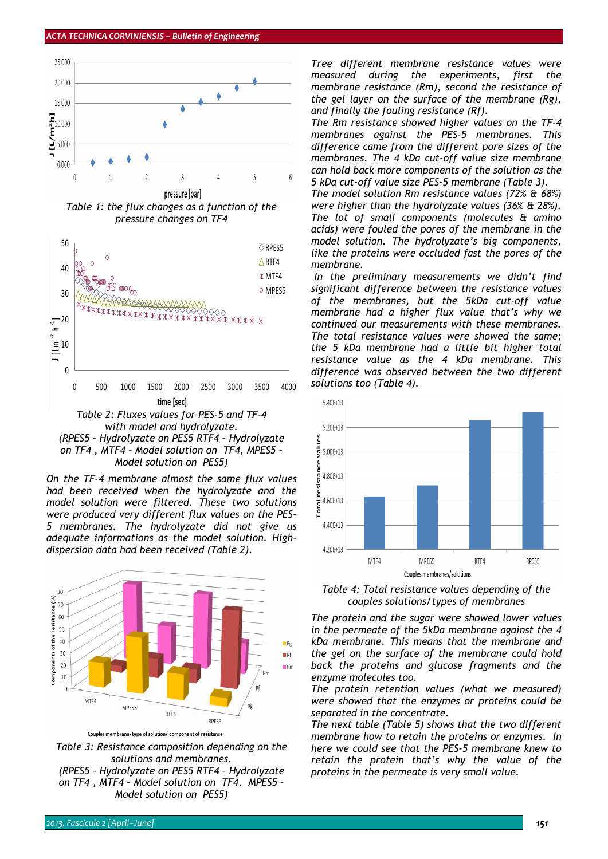

*Table 1: the flux changes as a function of the pressure changes on TF4* 



*On the TF-4 membrane almost the same flux values had been received when the hydrolyzate and the model solution were filtered. These two solutions were produced very different flux values on the PES-5 membranes. The hydrolyzate did not give us adequate informations as the model solution. Highdispersion data had been received (Table 2).* 



Couples membrane-type of solution/ component of resistance

*Table 3: Resistance composition depending on the solutions and membranes. (RPES5 – Hydrolyzate on PES5 RTF4 – Hydrolyzate on TF4 , MTF4 – Model solution on TF4, MPES5 – Model solution on PES5)* 

*Tree different membrane resistance values were measured during the experiments, first the membrane resistance (Rm), second the resistance of the gel layer on the surface of the membrane (Rg), and finally the fouling resistance (Rf).* 

*The Rm resistance showed higher values on the TF-4 membranes against the PES-5 membranes. This difference came from the different pore sizes of the membranes. The 4 kDa cut-off value size membrane can hold back more components of the solution as the 5 kDa cut-off value size PES-5 membrane (Table 3).* 

*The model solution Rm resistance values (72% & 68%) were higher than the hydrolyzate values (36% & 28%). The lot of small components (molecules & amino acids) were fouled the pores of the membrane in the model solution. The hydrolyzate's big components, like the proteins were occluded fast the pores of the membrane.* 

 *In the preliminary measurements we didn't find significant difference between the resistance values of the membranes, but the 5kDa cut-off value membrane had a higher flux value that's why we continued our measurements with these membranes. The total resistance values were showed the same; the 5 kDa membrane had a little bit higher total resistance value as the 4 kDa membrane. This difference was observed between the two different solutions too (Table 4).* 



*Table 4: Total resistance values depending of the couples solutions/types of membranes* 

*The protein and the sugar were showed lower values in the permeate of the 5kDa membrane against the 4 kDa membrane. This means that the membrane and the gel on the surface of the membrane could hold back the proteins and glucose fragments and the enzyme molecules too.* 

*The protein retention values (what we measured) were showed that the enzymes or proteins could be separated in the concentrate.* 

*The next table (Table 5) shows that the two different membrane how to retain the proteins or enzymes. In here we could see that the PES-5 membrane knew to retain the protein that's why the value of the proteins in the permeate is very small value.*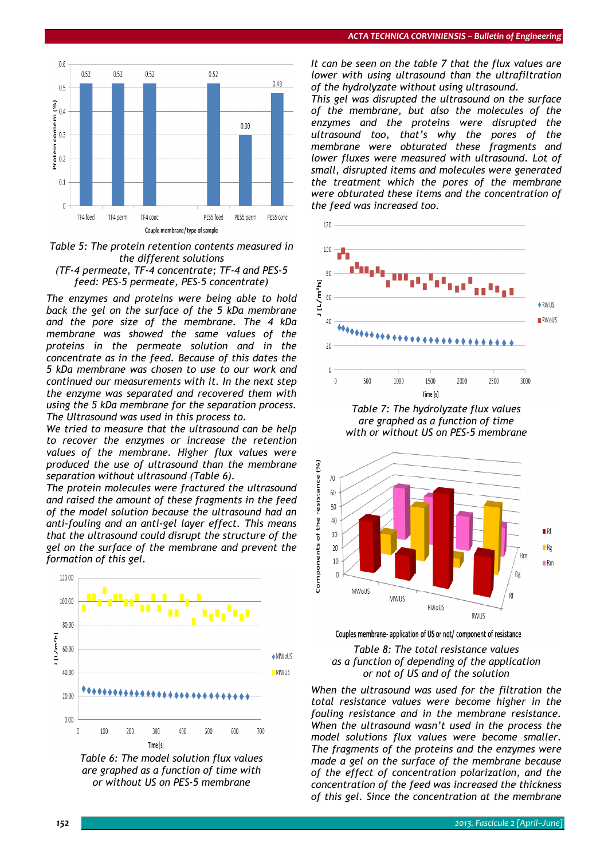

*Table 5: The protein retention contents measured in the different solutions* 



*The enzymes and proteins were being able to hold back the gel on the surface of the 5 kDa membrane and the pore size of the membrane. The 4 kDa membrane was showed the same values of the proteins in the permeate solution and in the concentrate as in the feed. Because of this dates the 5 kDa membrane was chosen to use to our work and continued our measurements with it. In the next step the enzyme was separated and recovered them with using the 5 kDa membrane for the separation process. The Ultrasound was used in this process to.* 

*We tried to measure that the ultrasound can be help to recover the enzymes or increase the retention values of the membrane. Higher flux values were produced the use of ultrasound than the membrane separation without ultrasound (Table 6).* 

*The protein molecules were fractured the ultrasound and raised the amount of these fragments in the feed of the model solution because the ultrasound had an anti-fouling and an anti-gel layer effect. This means that the ultrasound could disrupt the structure of the gel on the surface of the membrane and prevent the formation of this gel.* 



*Table 6: The model solution flux values are graphed as a function of time with or without US on PES-5 membrane* 

*It can be seen on the table 7 that the flux values are lower with using ultrasound than the ultrafiltration of the hydrolyzate without using ultrasound.* 

*This gel was disrupted the ultrasound on the surface of the membrane, but also the molecules of the enzymes and the proteins were disrupted the ultrasound too, that's why the pores of the membrane were obturated these fragments and lower fluxes were measured with ultrasound. Lot of small, disrupted items and molecules were generated the treatment which the pores of the membrane were obturated these items and the concentration of the feed was increased too.* 



*Table 7: The hydrolyzate flux values are graphed as a function of time with or without US on PES-5 membrane* 



Couples membrane- application of US or not/ component of resistance

#### *Table 8: The total resistance values as a function of depending of the application or not of US and of the solution*

*When the ultrasound was used for the filtration the total resistance values were become higher in the fouling resistance and in the membrane resistance. When the ultrasound wasn't used in the process the model solutions flux values were become smaller. The fragments of the proteins and the enzymes were made a gel on the surface of the membrane because of the effect of concentration polarization, and the concentration of the feed was increased the thickness of this gel. Since the concentration at the membrane*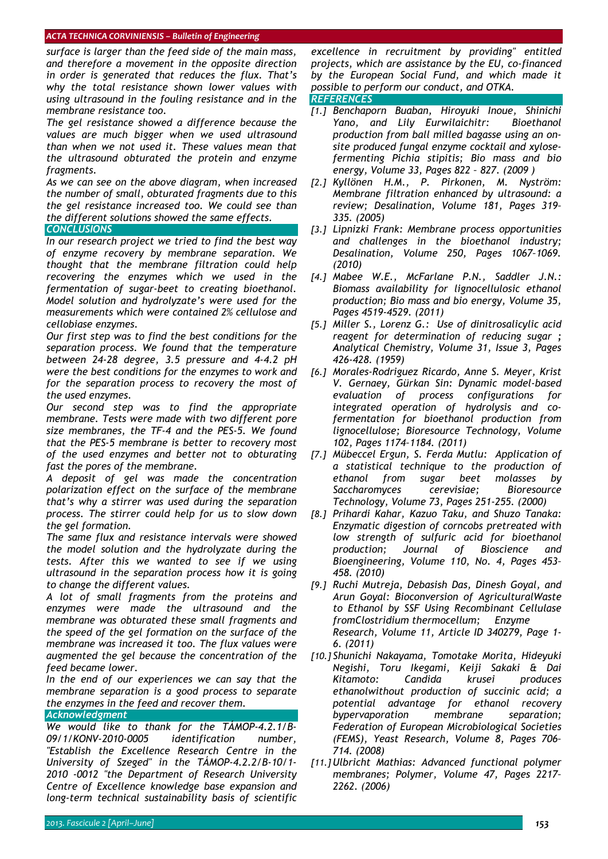## *ACTA TECHNICA CORVINIENSIS – Bulletin of Engineering*

*surface is larger than the feed side of the main mass, and therefore a movement in the opposite direction in order is generated that reduces the flux. That's why the total resistance shown lower values with using ultrasound in the fouling resistance and in the membrane resistance too.* 

*The gel resistance showed a difference because the values are much bigger when we used ultrasound than when we not used it. These values mean that the ultrasound obturated the protein and enzyme fragments.* 

*As we can see on the above diagram, when increased the number of small, obturated fragments due to this the gel resistance increased too. We could see than the different solutions showed the same effects. CONCLUSIONS* 

*In our research project we tried to find the best way of enzyme recovery by membrane separation. We thought that the membrane filtration could help recovering the enzymes which we used in the fermentation of sugar-beet to creating bioethanol. Model solution and hydrolyzate's were used for the measurements which were contained 2% cellulose and cellobiase enzymes.* 

*Our first step was to find the best conditions for the separation process. We found that the temperature between 24-28 degree, 3.5 pressure and 4-4.2 pH were the best conditions for the enzymes to work and for the separation process to recovery the most of the used enzymes.* 

*Our second step was to find the appropriate membrane. Tests were made with two different pore size membranes, the TF-4 and the PES-5. We found that the PES-5 membrane is better to recovery most of the used enzymes and better not to obturating fast the pores of the membrane.* 

*A deposit of gel was made the concentration polarization effect on the surface of the membrane that's why a stirrer was used during the separation process. The stirrer could help for us to slow down the gel formation.* 

*The same flux and resistance intervals were showed the model solution and the hydrolyzate during the tests. After this we wanted to see if we using ultrasound in the separation process how it is going to change the different values.* 

*A lot of small fragments from the proteins and enzymes were made the ultrasound and the membrane was obturated these small fragments and the speed of the gel formation on the surface of the membrane was increased it too. The flux values were augmented the gel because the concentration of the feed became lower.* 

*In the end of our experiences we can say that the membrane separation is a good process to separate the enzymes in the feed and recover them.* 

# *Acknowledgment*

*We would like to thank for the TÁMOP-4.2.1/B-09/1/KONV-2010-0005 identification number, "Establish the Excellence Research Centre in the University of Szeged" in the TÁMOP-4.2.2/B-10/1- 2010 -0012 "the Department of Research University Centre of Excellence knowledge base expansion and long-term technical sustainability basis of scientific* 

*excellence in recruitment by providing" entitled projects, which are assistance by the EU, co-financed by the European Social Fund, and which made it possible to perform our conduct, and OTKA.* 

## *REFERENCES*

- *[1.] Benchaporn Buaban, Hiroyuki Inoue, Shinichi Yano, and Lily Eurwilaichitr: Bioethanol production from ball milled bagasse using an onsite produced fungal enzyme cocktail and xylosefermenting Pichia stipitis; Bio mass and bio energy, Volume 33, Pages 822 – 827. (2009 )*
- *[2.] Kyllönen H.M., P. Pirkonen, M. Nyström: Membrane filtration enhanced by ultrasound: a review; Desalination, Volume 181, Pages 319– 335. (2005)*
- *[3.] Lipnizki Frank: Membrane process opportunities and challenges in the bioethanol industry; Desalination, Volume 250, Pages 1067–1069. (2010)*
- *[4.] Mabee W.E., McFarlane P.N., Saddler J.N.: Biomass availability for lignocellulosic ethanol production; Bio mass and bio energy, Volume 35, Pages 4519-4529. (2011)*
- *[5.] Miller S., Lorenz G.: Use of dinitrosalicylic acid reagent for determination of reducing sugar ; Analytical Chemistry, Volume 31, Issue 3, Pages 426-428. (1959)*
- *[6.] Morales-Rodriguez Ricardo, Anne S. Meyer, Krist V. Gernaey, Gürkan Sin: Dynamic model-based evaluation of process configurations for integrated operation of hydrolysis and cofermentation for bioethanol production from lignocellulose; Bioresource Technology, Volume 102, Pages 1174–1184. (2011)*
- *[7.] Mübeccel Ergun, S. Ferda Mutlu: Application of a statistical technique to the production of ethanol from sugar beet molasses by Saccharomyces cerevisiae; Bioresource Technology, Volume 73, Pages 251-255. (2000)*
- *[8.] Prihardi Kahar, Kazuo Taku, and Shuzo Tanaka: Enzymatic digestion of corncobs pretreated with low strength of sulfuric acid for bioethanol production; Journal of Bioscience and Bioengineering, Volume 110, No. 4, Pages 453– 458. (2010)*
- *[9.] Ruchi Mutreja, Debasish Das, Dinesh Goyal, and Arun Goyal: Bioconversion of AgriculturalWaste to Ethanol by SSF Using Recombinant Cellulase fromClostridium thermocellum; Enzyme Research, Volume 11, Article ID 340279, Page 1- 6. (2011)*
- *[10.] Shunichi Nakayama, Tomotake Morita, Hideyuki Negishi, Toru Ikegami, Keiji Sakaki & Dai Kitamoto: Candida krusei produces ethanolwithout production of succinic acid; a potential advantage for ethanol recovery bypervaporation membrane separation; Federation of European Microbiological Societies (FEMS), Yeast Research, Volume 8, Pages 706– 714. (2008)*
- *[11.] Ulbricht Mathias: Advanced functional polymer membranes; Polymer, Volume 47, Pages 2217– 2262. (2006)*